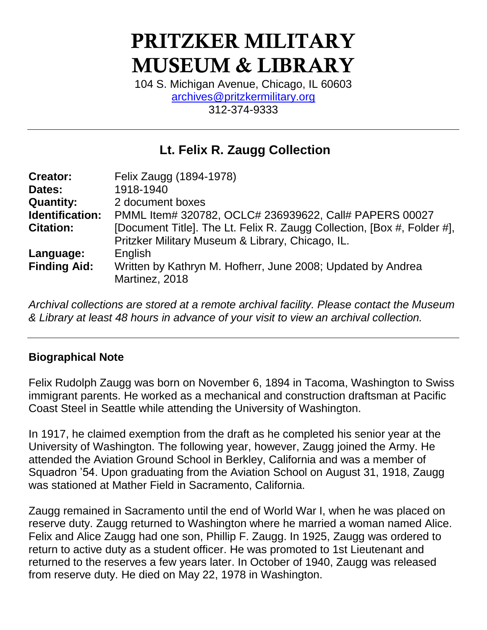# PRITZKER MILITARY MUSEUM & LIBRARY

104 S. Michigan Avenue, Chicago, IL 60603 [archives@pritzkermilitary.org](mailto:archives@pritzkermilitary.org) 312-374-9333

### **Lt. Felix R. Zaugg Collection**

| <b>Creator:</b>     | Felix Zaugg (1894-1978)                                                                                                     |
|---------------------|-----------------------------------------------------------------------------------------------------------------------------|
| Dates:              | 1918-1940                                                                                                                   |
| <b>Quantity:</b>    | 2 document boxes                                                                                                            |
| Identification:     | PMML Item# 320782, OCLC# 236939622, Call# PAPERS 00027                                                                      |
| <b>Citation:</b>    | [Document Title]. The Lt. Felix R. Zaugg Collection, [Box #, Folder #],<br>Pritzker Military Museum & Library, Chicago, IL. |
| Language:           | English                                                                                                                     |
| <b>Finding Aid:</b> | Written by Kathryn M. Hofherr, June 2008; Updated by Andrea<br>Martinez, 2018                                               |

*Archival collections are stored at a remote archival facility. Please contact the Museum & Library at least 48 hours in advance of your visit to view an archival collection.*

#### **Biographical Note**

Felix Rudolph Zaugg was born on November 6, 1894 in Tacoma, Washington to Swiss immigrant parents. He worked as a mechanical and construction draftsman at Pacific Coast Steel in Seattle while attending the University of Washington.

In 1917, he claimed exemption from the draft as he completed his senior year at the University of Washington. The following year, however, Zaugg joined the Army. He attended the Aviation Ground School in Berkley, California and was a member of Squadron '54. Upon graduating from the Aviation School on August 31, 1918, Zaugg was stationed at Mather Field in Sacramento, California.

Zaugg remained in Sacramento until the end of World War I, when he was placed on reserve duty. Zaugg returned to Washington where he married a woman named Alice. Felix and Alice Zaugg had one son, Phillip F. Zaugg. In 1925, Zaugg was ordered to return to active duty as a student officer. He was promoted to 1st Lieutenant and returned to the reserves a few years later. In October of 1940, Zaugg was released from reserve duty. He died on May 22, 1978 in Washington.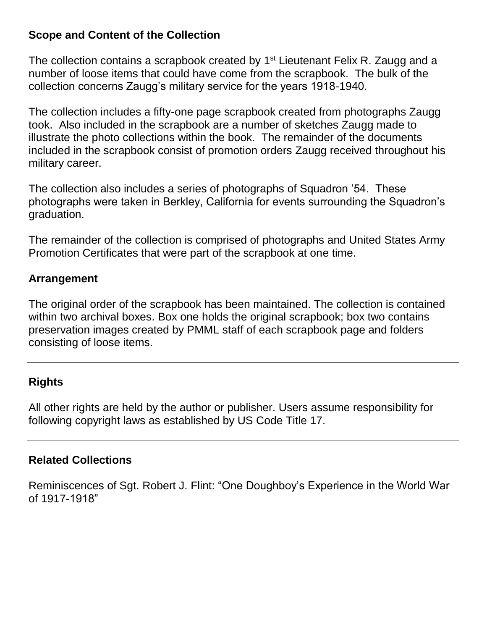#### **Scope and Content of the Collection**

The collection contains a scrapbook created by 1<sup>st</sup> Lieutenant Felix R. Zaugg and a number of loose items that could have come from the scrapbook. The bulk of the collection concerns Zaugg's military service for the years 1918-1940.

The collection includes a fifty-one page scrapbook created from photographs Zaugg took. Also included in the scrapbook are a number of sketches Zaugg made to illustrate the photo collections within the book. The remainder of the documents included in the scrapbook consist of promotion orders Zaugg received throughout his military career.

The collection also includes a series of photographs of Squadron '54. These photographs were taken in Berkley, California for events surrounding the Squadron's graduation.

The remainder of the collection is comprised of photographs and United States Army Promotion Certificates that were part of the scrapbook at one time.

#### **Arrangement**

The original order of the scrapbook has been maintained. The collection is contained within two archival boxes. Box one holds the original scrapbook; box two contains preservation images created by PMML staff of each scrapbook page and folders consisting of loose items.

#### **Rights**

All other rights are held by the author or publisher. Users assume responsibility for following copyright laws as established by US Code Title 17.

#### **Related Collections**

Reminiscences of Sgt. Robert J. Flint: "One Doughboy's Experience in the World War of 1917-1918"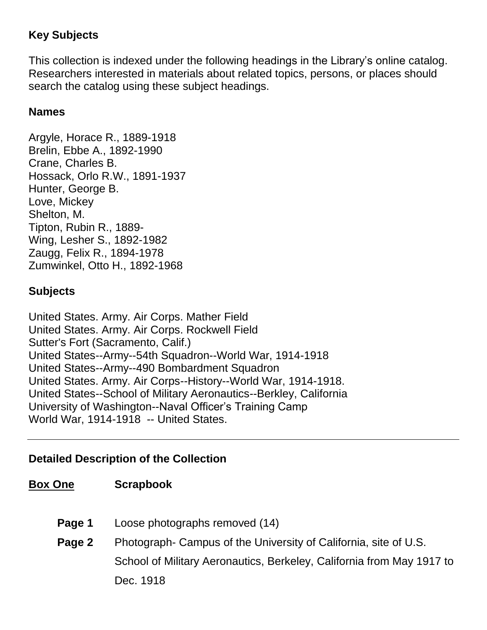#### **Key Subjects**

This collection is indexed under the following headings in the Library's online catalog. Researchers interested in materials about related topics, persons, or places should search the catalog using these subject headings.

#### **Names**

Argyle, Horace R., 1889-1918 Brelin, Ebbe A., 1892-1990 Crane, Charles B. Hossack, Orlo R.W., 1891-1937 Hunter, George B. Love, Mickey Shelton, M. Tipton, Rubin R., 1889- Wing, Lesher S., 1892-1982 Zaugg, Felix R., 1894-1978 Zumwinkel, Otto H., 1892-1968

#### **Subjects**

United States. Army. Air Corps. Mather Field United States. Army. Air Corps. Rockwell Field Sutter's Fort (Sacramento, Calif.) United States--Army--54th Squadron--World War, 1914-1918 United States--Army--490 Bombardment Squadron United States. Army. Air Corps--History--World War, 1914-1918. United States--School of Military Aeronautics--Berkley, California University of Washington--Naval Officer's Training Camp World War, 1914-1918 -- United States.

#### **Detailed Description of the Collection**

#### **Box One Scrapbook**

- **Page 1** Loose photographs removed (14)
- **Page 2** Photograph- Campus of the University of California, site of U.S. School of Military Aeronautics, Berkeley, California from May 1917 to Dec. 1918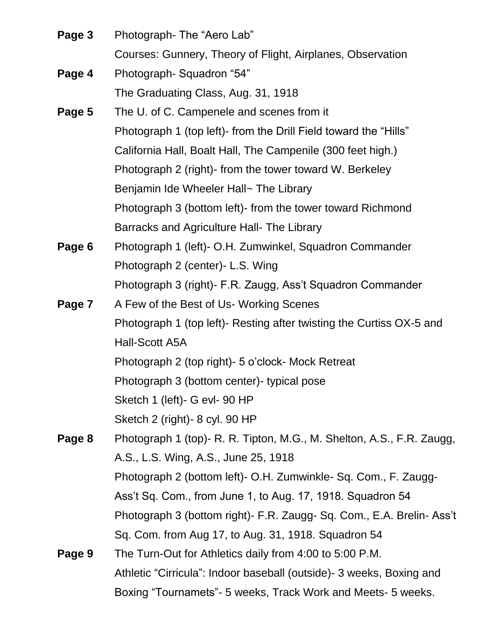| Page 3 | Photograph-The "Aero Lab"                                                |
|--------|--------------------------------------------------------------------------|
|        | Courses: Gunnery, Theory of Flight, Airplanes, Observation               |
| Page 4 | Photograph-Squadron "54"                                                 |
|        | The Graduating Class, Aug. 31, 1918                                      |
| Page 5 | The U. of C. Campenele and scenes from it                                |
|        | Photograph 1 (top left)- from the Drill Field toward the "Hills"         |
|        | California Hall, Boalt Hall, The Campenile (300 feet high.)              |
|        | Photograph 2 (right) from the tower toward W. Berkeley                   |
|        | Benjamin Ide Wheeler Hall~ The Library                                   |
|        | Photograph 3 (bottom left) from the tower toward Richmond                |
|        | Barracks and Agriculture Hall- The Library                               |
| Page 6 | Photograph 1 (left)- O.H. Zumwinkel, Squadron Commander                  |
|        | Photograph 2 (center) - L.S. Wing                                        |
|        | Photograph 3 (right)- F.R. Zaugg, Ass't Squadron Commander               |
| Page 7 | A Few of the Best of Us- Working Scenes                                  |
|        | Photograph 1 (top left)- Resting after twisting the Curtiss OX-5 and     |
|        | Hall-Scott A5A                                                           |
|        | Photograph 2 (top right) - 5 o'clock - Mock Retreat                      |
|        | Photograph 3 (bottom center) - typical pose                              |
|        | Sketch 1 (left) - G evl- 90 HP                                           |
|        | Sketch 2 (right) - 8 cyl. 90 HP                                          |
| Page 8 | Photograph 1 (top)- R. R. Tipton, M.G., M. Shelton, A.S., F.R. Zaugg,    |
|        | A.S., L.S. Wing, A.S., June 25, 1918                                     |
|        | Photograph 2 (bottom left) - O.H. Zumwinkle - Sq. Com., F. Zaugg-        |
|        | Ass't Sq. Com., from June 1, to Aug. 17, 1918. Squadron 54               |
|        | Photograph 3 (bottom right) - F.R. Zaugg - Sq. Com., E.A. Brelin - Ass't |
|        | Sq. Com. from Aug 17, to Aug. 31, 1918. Squadron 54                      |
| Page 9 | The Turn-Out for Athletics daily from 4:00 to 5:00 P.M.                  |
|        | Athletic "Cirricula": Indoor baseball (outside) - 3 weeks, Boxing and    |

Boxing "Tournamets"- 5 weeks, Track Work and Meets- 5 weeks.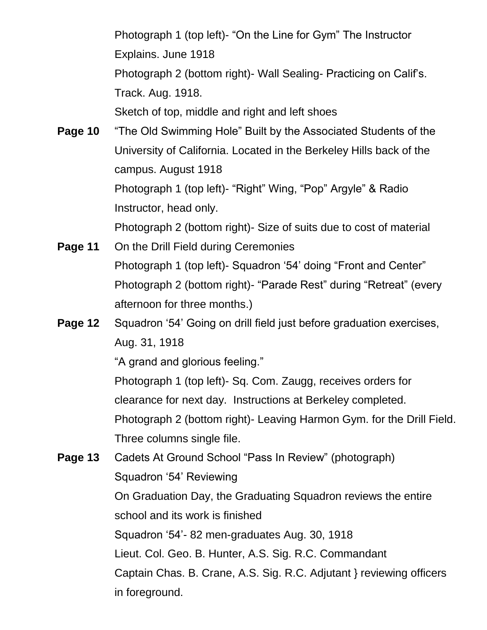Photograph 1 (top left)- "On the Line for Gym" The Instructor Explains. June 1918 Photograph 2 (bottom right)- Wall Sealing- Practicing on Calif's. Track. Aug. 1918. Sketch of top, middle and right and left shoes

**Page 10** "The Old Swimming Hole" Built by the Associated Students of the University of California. Located in the Berkeley Hills back of the campus. August 1918 Photograph 1 (top left)- "Right" Wing, "Pop" Argyle" & Radio Instructor, head only. Photograph 2 (bottom right)- Size of suits due to cost of material

- **Page 11** On the Drill Field during Ceremonies Photograph 1 (top left)- Squadron '54' doing "Front and Center" Photograph 2 (bottom right)- "Parade Rest" during "Retreat" (every afternoon for three months.)
- **Page 12** Squadron '54' Going on drill field just before graduation exercises, Aug. 31, 1918

"A grand and glorious feeling."

Photograph 1 (top left)- Sq. Com. Zaugg, receives orders for

clearance for next day. Instructions at Berkeley completed.

Photograph 2 (bottom right)- Leaving Harmon Gym. for the Drill Field. Three columns single file.

**Page 13** Cadets At Ground School "Pass In Review" (photograph) Squadron '54' Reviewing On Graduation Day, the Graduating Squadron reviews the entire school and its work is finished Squadron '54'- 82 men-graduates Aug. 30, 1918 Lieut. Col. Geo. B. Hunter, A.S. Sig. R.C. Commandant Captain Chas. B. Crane, A.S. Sig. R.C. Adjutant } reviewing officers in foreground.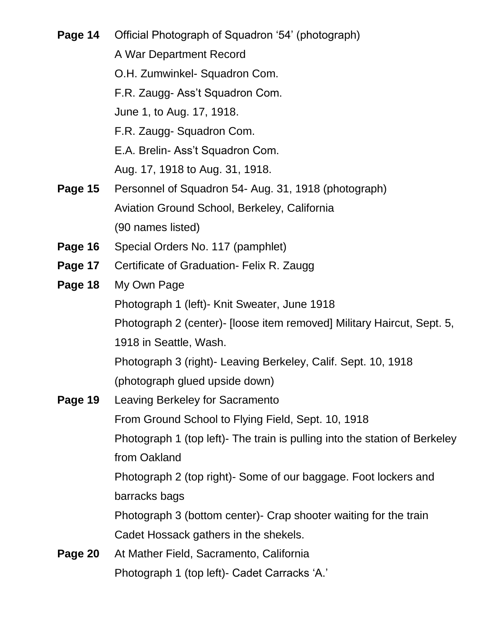**Page 14** Official Photograph of Squadron '54' (photograph) A War Department Record O.H. Zumwinkel- Squadron Com. F.R. Zaugg- Ass't Squadron Com. June 1, to Aug. 17, 1918. F.R. Zaugg- Squadron Com. E.A. Brelin- Ass't Squadron Com. Aug. 17, 1918 to Aug. 31, 1918. **Page 15** Personnel of Squadron 54- Aug. 31, 1918 (photograph) Aviation Ground School, Berkeley, California (90 names listed) **Page 16** Special Orders No. 117 (pamphlet) **Page 17** Certificate of Graduation- Felix R. Zaugg **Page 18** My Own Page Photograph 1 (left)- Knit Sweater, June 1918 Photograph 2 (center)- [loose item removed] Military Haircut, Sept. 5, 1918 in Seattle, Wash. Photograph 3 (right)- Leaving Berkeley, Calif. Sept. 10, 1918 (photograph glued upside down) **Page 19** Leaving Berkeley for Sacramento From Ground School to Flying Field, Sept. 10, 1918 Photograph 1 (top left)- The train is pulling into the station of Berkeley from Oakland Photograph 2 (top right)- Some of our baggage. Foot lockers and barracks bags Photograph 3 (bottom center)- Crap shooter waiting for the train Cadet Hossack gathers in the shekels. **Page 20** At Mather Field, Sacramento, California Photograph 1 (top left)- Cadet Carracks 'A.'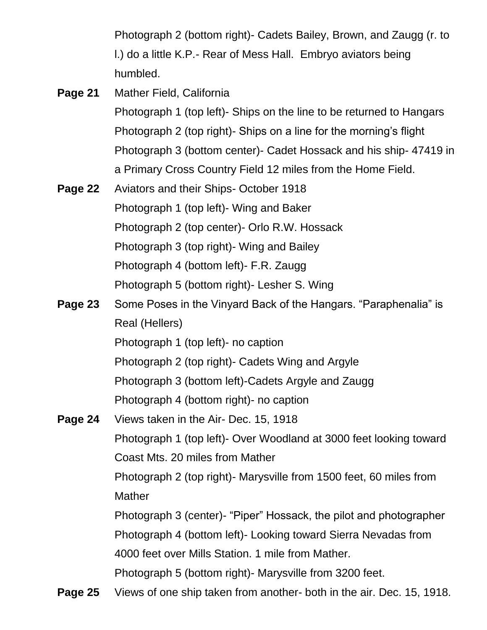Photograph 2 (bottom right)- Cadets Bailey, Brown, and Zaugg (r. to l.) do a little K.P.- Rear of Mess Hall. Embryo aviators being humbled.

**Page 21** Mather Field, California

Photograph 1 (top left)- Ships on the line to be returned to Hangars Photograph 2 (top right)- Ships on a line for the morning's flight Photograph 3 (bottom center)- Cadet Hossack and his ship- 47419 in a Primary Cross Country Field 12 miles from the Home Field.

**Page 22** Aviators and their Ships- October 1918 Photograph 1 (top left)- Wing and Baker Photograph 2 (top center)- Orlo R.W. Hossack Photograph 3 (top right)- Wing and Bailey Photograph 4 (bottom left)- F.R. Zaugg Photograph 5 (bottom right)- Lesher S. Wing

## **Page 23** Some Poses in the Vinyard Back of the Hangars. "Paraphenalia" is Real (Hellers) Photograph 1 (top left)- no caption Photograph 2 (top right)- Cadets Wing and Argyle Photograph 3 (bottom left)-Cadets Argyle and Zaugg Photograph 4 (bottom right)- no caption

- **Page 24** Views taken in the Air- Dec. 15, 1918 Photograph 1 (top left)- Over Woodland at 3000 feet looking toward Coast Mts. 20 miles from Mather Photograph 2 (top right)- Marysville from 1500 feet, 60 miles from **Mather** Photograph 3 (center)- "Piper" Hossack, the pilot and photographer Photograph 4 (bottom left)- Looking toward Sierra Nevadas from 4000 feet over Mills Station. 1 mile from Mather. Photograph 5 (bottom right)- Marysville from 3200 feet.
- **Page 25** Views of one ship taken from another- both in the air. Dec. 15, 1918.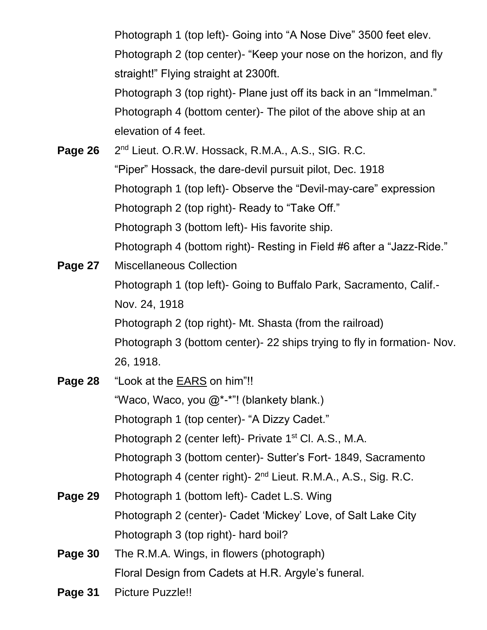Photograph 1 (top left)- Going into "A Nose Dive" 3500 feet elev. Photograph 2 (top center)- "Keep your nose on the horizon, and fly straight!" Flying straight at 2300ft. Photograph 3 (top right)- Plane just off its back in an "Immelman." Photograph 4 (bottom center)- The pilot of the above ship at an elevation of 4 feet.

**Page 26** 2<sup>nd</sup> Lieut. O.R.W. Hossack, R.M.A., A.S., SIG. R.C. "Piper" Hossack, the dare-devil pursuit pilot, Dec. 1918 Photograph 1 (top left)- Observe the "Devil-may-care" expression Photograph 2 (top right)- Ready to "Take Off." Photograph 3 (bottom left)- His favorite ship. Photograph 4 (bottom right)- Resting in Field #6 after a "Jazz-Ride."

- **Page 27** Miscellaneous Collection Photograph 1 (top left)- Going to Buffalo Park, Sacramento, Calif.- Nov. 24, 1918 Photograph 2 (top right)- Mt. Shasta (from the railroad) Photograph 3 (bottom center)- 22 ships trying to fly in formation- Nov. 26, 1918.
- **Page 28** "Look at the EARS on him"!! "Waco, Waco, you @\*-\*"! (blankety blank.) Photograph 1 (top center)- "A Dizzy Cadet." Photograph 2 (center left)- Private 1<sup>st</sup> Cl. A.S., M.A. Photograph 3 (bottom center)- Sutter's Fort- 1849, Sacramento Photograph 4 (center right)- 2<sup>nd</sup> Lieut. R.M.A., A.S., Sig. R.C. **Page 29** Photograph 1 (bottom left)- Cadet L.S. Wing Photograph 2 (center)- Cadet 'Mickey' Love, of Salt Lake City

Photograph 3 (top right)- hard boil?

- **Page 30** The R.M.A. Wings, in flowers (photograph) Floral Design from Cadets at H.R. Argyle's funeral.
- **Page 31** Picture Puzzle!!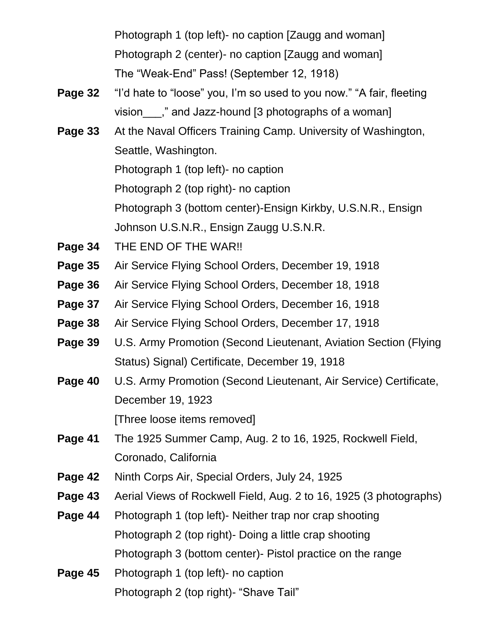Photograph 1 (top left)- no caption [Zaugg and woman] Photograph 2 (center)- no caption [Zaugg and woman] The "Weak-End" Pass! (September 12, 1918)

- **Page 32** "I'd hate to "loose" you, I'm so used to you now." "A fair, fleeting vision  $\ldots$ ," and Jazz-hound [3 photographs of a woman]
- **Page 33** At the Naval Officers Training Camp. University of Washington, Seattle, Washington. Photograph 1 (top left)- no caption Photograph 2 (top right)- no caption Photograph 3 (bottom center)-Ensign Kirkby, U.S.N.R., Ensign Johnson U.S.N.R., Ensign Zaugg U.S.N.R.
- **Page 34** THE END OF THE WAR!!
- **Page 35** Air Service Flying School Orders, December 19, 1918
- **Page 36** Air Service Flying School Orders, December 18, 1918
- **Page 37** Air Service Flying School Orders, December 16, 1918
- **Page 38** Air Service Flying School Orders, December 17, 1918
- **Page 39** U.S. Army Promotion (Second Lieutenant, Aviation Section (Flying Status) Signal) Certificate, December 19, 1918
- **Page 40** U.S. Army Promotion (Second Lieutenant, Air Service) Certificate, December 19, 1923 [Three loose items removed]
- **Page 41** The 1925 Summer Camp, Aug. 2 to 16, 1925, Rockwell Field, Coronado, California
- **Page 42** Ninth Corps Air, Special Orders, July 24, 1925
- **Page 43** Aerial Views of Rockwell Field, Aug. 2 to 16, 1925 (3 photographs)
- **Page 44** Photograph 1 (top left)- Neither trap nor crap shooting Photograph 2 (top right)- Doing a little crap shooting Photograph 3 (bottom center)- Pistol practice on the range
- **Page 45** Photograph 1 (top left)- no caption Photograph 2 (top right)- "Shave Tail"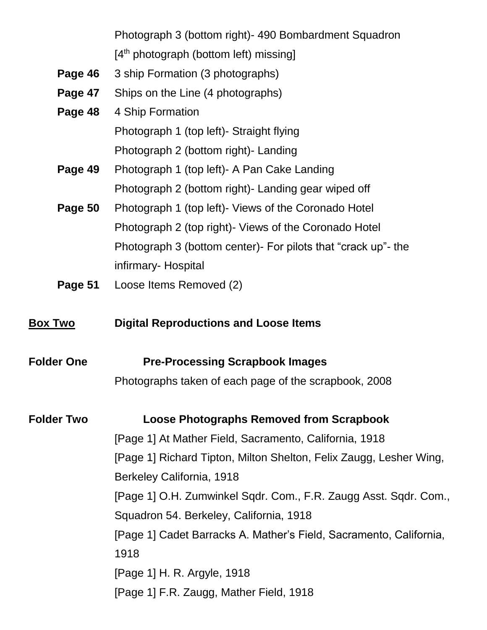Photograph 3 (bottom right)- 490 Bombardment Squadron [4<sup>th</sup> photograph (bottom left) missing]

- **Page 46** 3 ship Formation (3 photographs)
- **Page 47** Ships on the Line (4 photographs)
- **Page 48** 4 Ship Formation Photograph 1 (top left)- Straight flying Photograph 2 (bottom right)- Landing
- **Page 49** Photograph 1 (top left)- A Pan Cake Landing Photograph 2 (bottom right)- Landing gear wiped off
- **Page 50** Photograph 1 (top left)- Views of the Coronado Hotel Photograph 2 (top right)- Views of the Coronado Hotel Photograph 3 (bottom center)- For pilots that "crack up"- the infirmary- Hospital
- **Page 51** Loose Items Removed (2)
- **Box Two Digital Reproductions and Loose Items**
- **Folder One Pre-Processing Scrapbook Images** Photographs taken of each page of the scrapbook, 2008

**Folder Two Loose Photographs Removed from Scrapbook** [Page 1] At Mather Field, Sacramento, California, 1918 [Page 1] Richard Tipton, Milton Shelton, Felix Zaugg, Lesher Wing, Berkeley California, 1918 [Page 1] O.H. Zumwinkel Sqdr. Com., F.R. Zaugg Asst. Sqdr. Com., Squadron 54. Berkeley, California, 1918 [Page 1] Cadet Barracks A. Mather's Field, Sacramento, California, 1918 [Page 1] H. R. Argyle, 1918 [Page 1] F.R. Zaugg, Mather Field, 1918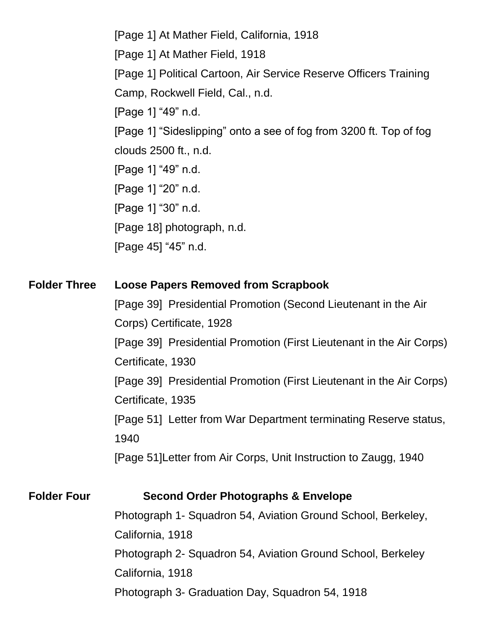[Page 1] At Mather Field, California, 1918 [Page 1] At Mather Field, 1918 [Page 1] Political Cartoon, Air Service Reserve Officers Training Camp, Rockwell Field, Cal., n.d. [Page 1] "49" n.d. [Page 1] "Sideslipping" onto a see of fog from 3200 ft. Top of fog clouds 2500 ft., n.d. [Page 1] "49" n.d. [Page 1] "20" n.d. [Page 1] "30" n.d. [Page 18] photograph, n.d. [Page 45] "45" n.d.

#### **Folder Three Loose Papers Removed from Scrapbook**

[Page 39] Presidential Promotion (Second Lieutenant in the Air Corps) Certificate, 1928 [Page 39] Presidential Promotion (First Lieutenant in the Air Corps) Certificate, 1930 [Page 39] Presidential Promotion (First Lieutenant in the Air Corps) Certificate, 1935 [Page 51] Letter from War Department terminating Reserve status, 1940 [Page 51]Letter from Air Corps, Unit Instruction to Zaugg, 1940

#### **Folder Four Second Order Photographs & Envelope**

Photograph 1- Squadron 54, Aviation Ground School, Berkeley, California, 1918 Photograph 2- Squadron 54, Aviation Ground School, Berkeley California, 1918 Photograph 3- Graduation Day, Squadron 54, 1918